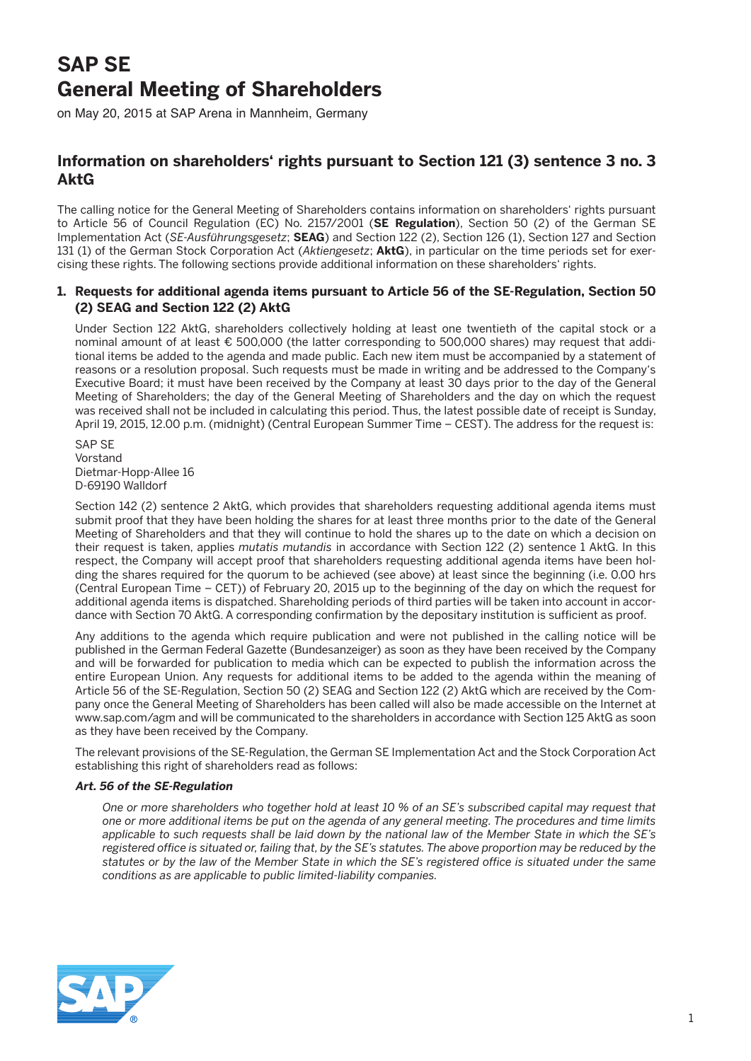# **SAP SE General Meeting of Shareholders**

on May 20, 2015 at SAP Arena in Mannheim, Germany

# **Information on shareholders' rights pursuant to Section 121 (3) sentence 3 no. 3 AktG**

The calling notice for the General Meeting of Shareholders contains information on shareholders' rights pursuant to Article 56 of Council Regulation (EC) No. 2157/2001 (**SE Regulation**), Section 50 (2) of the German SE Implementation Act (*SE-Ausführungsgesetz*; **SEAG**) and Section 122 (2), Section 126 (1), Section 127 and Section 131 (1) of the German Stock Corporation Act (*Aktiengesetz*; **AktG**), in particular on the time periods set for exercising these rights. The following sections provide additional information on these shareholders' rights.

# **1. Requests for additional agenda items pursuant to Article 56 of the SE-Regulation, Section 50 (2) SEAG and Section 122 (2) AktG**

 Under Section 122 AktG, shareholders collectively holding at least one twentieth of the capital stock or a nominal amount of at least € 500,000 (the latter corresponding to 500,000 shares) may request that additional items be added to the agenda and made public. Each new item must be accompanied by a statement of reasons or a resolution proposal. Such requests must be made in writing and be addressed to the Company's Executive Board; it must have been received by the Company at least 30 days prior to the day of the General Meeting of Shareholders; the day of the General Meeting of Shareholders and the day on which the request was received shall not be included in calculating this period. Thus, the latest possible date of receipt is Sunday, April 19, 2015, 12.00 p.m. (midnight) (Central European Summer Time – CEST). The address for the request is:

 SAP SE Vorstand Dietmar-Hopp-Allee 16 D-69190 Walldorf

Section 142 (2) sentence 2 AktG, which provides that shareholders requesting additional agenda items must submit proof that they have been holding the shares for at least three months prior to the date of the General Meeting of Shareholders and that they will continue to hold the shares up to the date on which a decision on their request is taken, applies *mutatis mutandis* in accordance with Section 122 (2) sentence 1 AktG. In this respect, the Company will accept proof that shareholders requesting additional agenda items have been holding the shares required for the quorum to be achieved (see above) at least since the beginning (i.e. 0.00 hrs (Central European Time – CET)) of February 20, 2015 up to the beginning of the day on which the request for additional agenda items is dispatched. Shareholding periods of third parties will be taken into account in accordance with Section 70 AktG. A corresponding confirmation by the depositary institution is sufficient as proof.

 Any additions to the agenda which require publication and were not published in the calling notice will be published in the German Federal Gazette (Bundesanzeiger) as soon as they have been received by the Company and will be forwarded for publication to media which can be expected to publish the information across the entire European Union. Any requests for additional items to be added to the agenda within the meaning of Article 56 of the SE-Regulation, Section 50 (2) SEAG and Section 122 (2) AktG which are received by the Company once the General Meeting of Shareholders has been called will also be made accessible on the Internet at www.sap.com/agm and will be communicated to the shareholders in accordance with Section 125 AktG as soon as they have been received by the Company.

 The relevant provisions of the SE-Regulation, the German SE Implementation Act and the Stock Corporation Act establishing this right of shareholders read as follows:

# **Art. 56 of the SE-Regulation**

 *One or more shareholders who together hold at least 10 % of an SE's subscribed capital may request that one or more additional items be put on the agenda of any general meeting. The procedures and time limits applicable to such requests shall be laid down by the national law of the Member State in which the SE's registered office is situated or, failing that, by the SE's statutes. The above proportion may be reduced by the statutes or by the law of the Member State in which the SE's registered office is situated under the same conditions as are applicable to public limited-liability companies.*

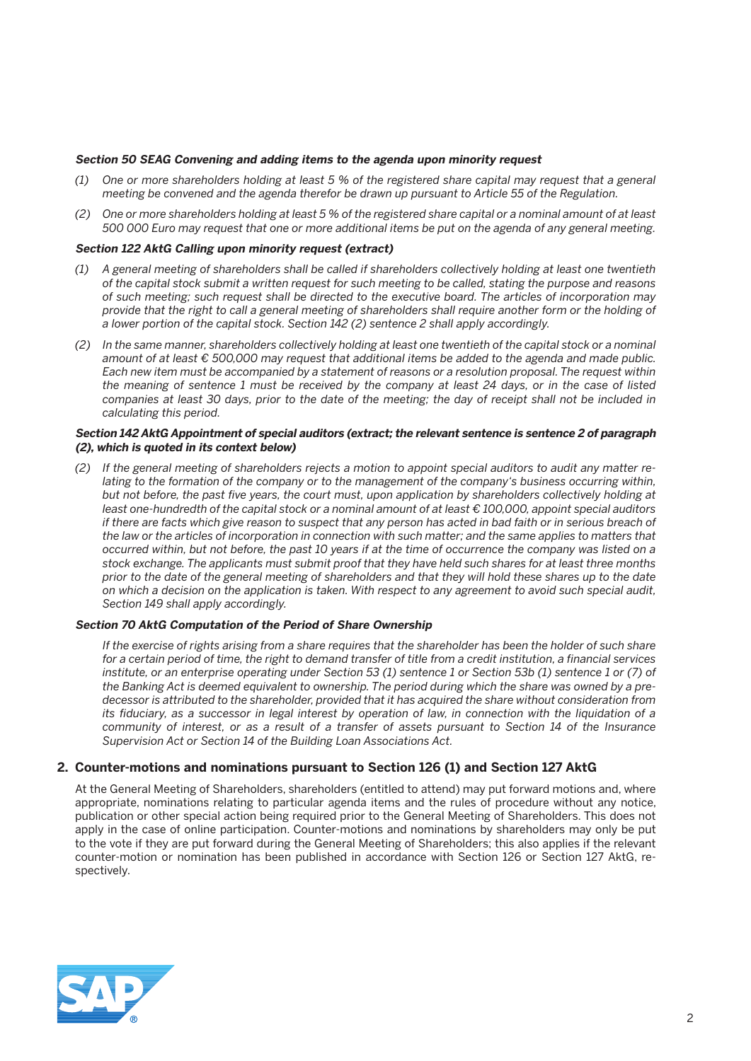#### **Section 50 SEAG Convening and adding items to the agenda upon minority request**

- *(1) One or more shareholders holding at least 5 % of the registered share capital may request that a general meeting be convened and the agenda therefor be drawn up pursuant to Article 55 of the Regulation.*
- *(2) One or more shareholders holding at least 5 % of the registered share capital or a nominal amount of at least 500 000 Euro may request that one or more additional items be put on the agenda of any general meeting.*

### **Section 122 AktG Calling upon minority request (extract)**

- *(1) A general meeting of shareholders shall be called if shareholders collectively holding at least one twentieth of the capital stock submit a written request for such meeting to be called, stating the purpose and reasons of such meeting; such request shall be directed to the executive board. The articles of incorporation may provide that the right to call a general meeting of shareholders shall require another form or the holding of a lower portion of the capital stock. Section 142 (2) sentence 2 shall apply accordingly.*
- *(2) In the same manner, shareholders collectively holding at least one twentieth of the capital stock or a nominal amount of at least € 500,000 may request that additional items be added to the agenda and made public. Each new item must be accompanied by a statement of reasons or a resolution proposal. The request within the meaning of sentence 1 must be received by the company at least 24 days, or in the case of listed companies at least 30 days, prior to the date of the meeting; the day of receipt shall not be included in calculating this period.*

#### **Section 142 AktG Appointment of special auditors (extract; the relevant sentence is sentence 2 of paragraph (2), which is quoted in its context below)**

 *(2) If the general meeting of shareholders rejects a motion to appoint special auditors to audit any matter relating to the formation of the company or to the management of the company's business occurring within, but not before, the past five years, the court must, upon application by shareholders collectively holding at least one-hundredth of the capital stock or a nominal amount of at least € 100,000, appoint special auditors if there are facts which give reason to suspect that any person has acted in bad faith or in serious breach of the law or the articles of incorporation in connection with such matter; and the same applies to matters that occurred within, but not before, the past 10 years if at the time of occurrence the company was listed on a stock exchange. The applicants must submit proof that they have held such shares for at least three months prior to the date of the general meeting of shareholders and that they will hold these shares up to the date on which a decision on the application is taken. With respect to any agreement to avoid such special audit, Section 149 shall apply accordingly.*

# **Section 70 AktG Computation of the Period of Share Ownership**

 *If the exercise of rights arising from a share requires that the shareholder has been the holder of such share for a certain period of time, the right to demand transfer of title from a credit institution, a financial services institute, or an enterprise operating under Section 53 (1) sentence 1 or Section 53b (1) sentence 1 or (7) of the Banking Act is deemed equivalent to ownership. The period during which the share was owned by a predecessor is attributed to the shareholder, provided that it has acquired the share without consideration from its fiduciary, as a successor in legal interest by operation of law, in connection with the liquidation of a community of interest, or as a result of a transfer of assets pursuant to Section 14 of the Insurance Supervision Act or Section 14 of the Building Loan Associations Act.*

# **2. Counter-motions and nominations pursuant to Section 126 (1) and Section 127 AktG**

 At the General Meeting of Shareholders, shareholders (entitled to attend) may put forward motions and, where appropriate, nominations relating to particular agenda items and the rules of procedure without any notice, publication or other special action being required prior to the General Meeting of Shareholders. This does not apply in the case of online participation. Counter-motions and nominations by shareholders may only be put to the vote if they are put forward during the General Meeting of Shareholders; this also applies if the relevant counter-motion or nomination has been published in accordance with Section 126 or Section 127 AktG, respectively.

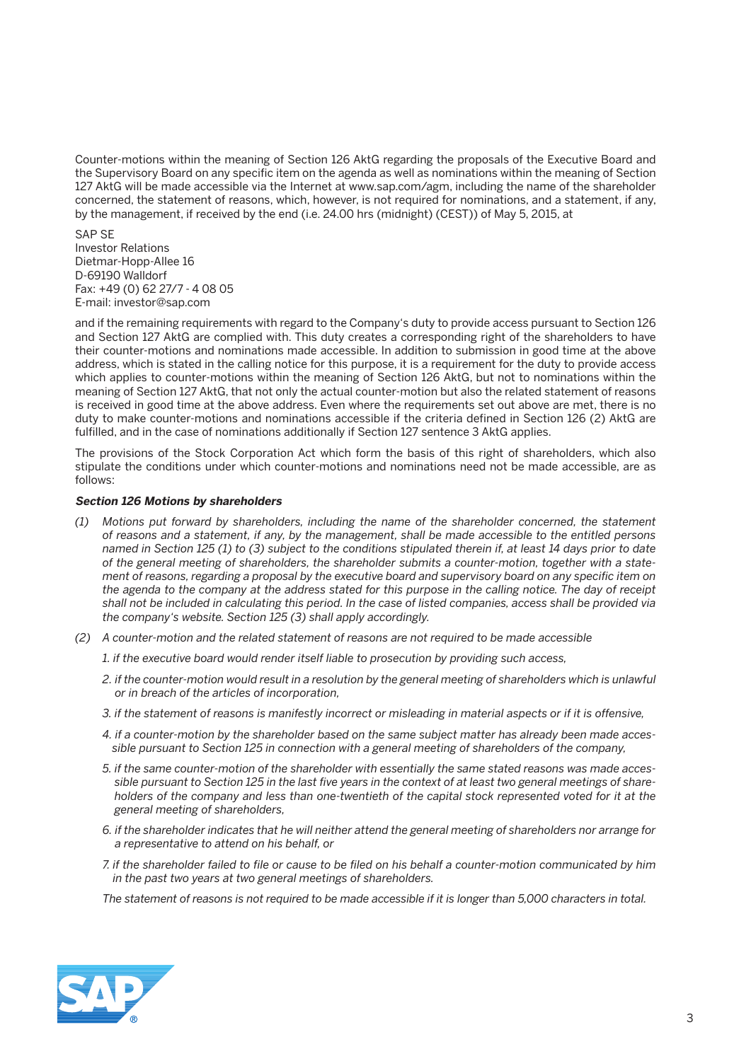Counter-motions within the meaning of Section 126 AktG regarding the proposals of the Executive Board and the Supervisory Board on any specific item on the agenda as well as nominations within the meaning of Section 127 AktG will be made accessible via the Internet at www.sap.com/agm, including the name of the shareholder concerned, the statement of reasons, which, however, is not required for nominations, and a statement, if any, by the management, if received by the end (i.e. 24.00 hrs (midnight) (CEST)) of May 5, 2015, at

 SAP SE Investor Relations Dietmar-Hopp-Allee 16 D-69190 Walldorf Fax: +49 (0) 62 27/7 - 4 08 05 E-mail: investor@sap.com

 and if the remaining requirements with regard to the Company's duty to provide access pursuant to Section 126 and Section 127 AktG are complied with. This duty creates a corresponding right of the shareholders to have their counter-motions and nominations made accessible. In addition to submission in good time at the above address, which is stated in the calling notice for this purpose, it is a requirement for the duty to provide access which applies to counter-motions within the meaning of Section 126 AktG, but not to nominations within the meaning of Section 127 AktG, that not only the actual counter-motion but also the related statement of reasons is received in good time at the above address. Even where the requirements set out above are met, there is no duty to make counter-motions and nominations accessible if the criteria defined in Section 126 (2) AktG are fulfilled, and in the case of nominations additionally if Section 127 sentence 3 AktG applies.

 The provisions of the Stock Corporation Act which form the basis of this right of shareholders, which also stipulate the conditions under which counter-motions and nominations need not be made accessible, are as follows:

# **Section 126 Motions by shareholders**

- *(1) Motions put forward by shareholders, including the name of the shareholder concerned, the statement of reasons and a statement, if any, by the management, shall be made accessible to the entitled persons named in Section 125 (1) to (3) subject to the conditions stipulated therein if, at least 14 days prior to date of the general meeting of shareholders, the shareholder submits a counter-motion, together with a statement of reasons, regarding a proposal by the executive board and supervisory board on any specific item on the agenda to the company at the address stated for this purpose in the calling notice. The day of receipt shall not be included in calculating this period. In the case of listed companies, access shall be provided via the company's website. Section 125 (3) shall apply accordingly.*
- *(2) A counter-motion and the related statement of reasons are not required to be made accessible*
	- *1. if the executive board would render itself liable to prosecution by providing such access,*
	- 2. if the counter-motion would result in a resolution by the general meeting of shareholders which is unlawful *or in breach of the articles of incorporation,*
	- *3. if the statement of reasons is manifestly incorrect or misleading in material aspects or if it is offensive,*
	- *4. if a counter-motion by the shareholder based on the same subject matter has already been made accessible pursuant to Section 125 in connection with a general meeting of shareholders of the company,*
	- *5. if the same counter-motion of the shareholder with essentially the same stated reasons was made accessible pursuant to Section 125 in the last five years in the context of at least two general meetings of shareholders of the company and less than one-twentieth of the capital stock represented voted for it at the general meeting of shareholders,*
	- *6. if the shareholder indicates that he will neither attend the general meeting of shareholders nor arrange for a representative to attend on his behalf, or*
	- *7. if the shareholder failed to file or cause to be filed on his behalf a counter-motion communicated by him in the past two years at two general meetings of shareholders.*

 *The statement of reasons is not required to be made accessible if it is longer than 5,000 characters in total.*

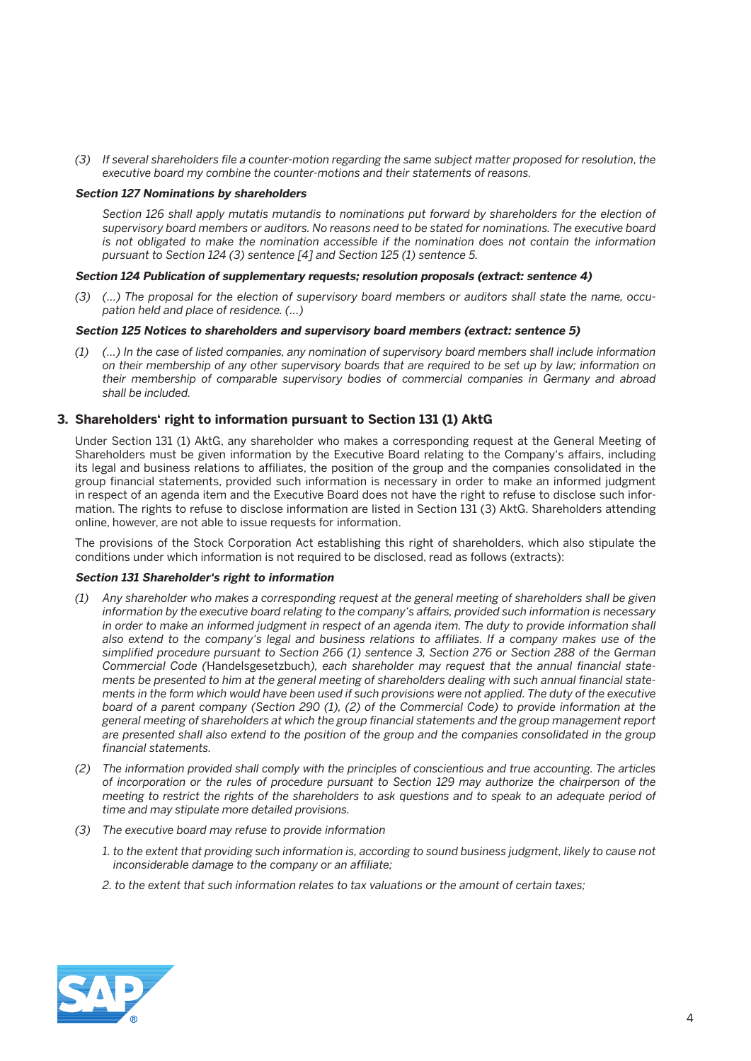*(3) If several shareholders file a counter-motion regarding the same subject matter proposed for resolution, the executive board my combine the counter-motions and their statements of reasons.*

#### **Section 127 Nominations by shareholders**

 *Section 126 shall apply mutatis mutandis to nominations put forward by shareholders for the election of supervisory board members or auditors. No reasons need to be stated for nominations. The executive board is not obligated to make the nomination accessible if the nomination does not contain the information pursuant to Section 124 (3) sentence [4] and Section 125 (1) sentence 5.*

#### **Section 124 Publication of supplementary requests; resolution proposals (extract: sentence 4)**

 *(3) (...) The proposal for the election of supervisory board members or auditors shall state the name, occupation held and place of residence. (...)*

#### **Section 125 Notices to shareholders and supervisory board members (extract: sentence 5)**

 *(1) (…) In the case of listed companies, any nomination of supervisory board members shall include information on their membership of any other supervisory boards that are required to be set up by law; information on their membership of comparable supervisory bodies of commercial companies in Germany and abroad shall be included.*

# **3. Shareholders' right to information pursuant to Section 131 (1) AktG**

 Under Section 131 (1) AktG, any shareholder who makes a corresponding request at the General Meeting of Shareholders must be given information by the Executive Board relating to the Company's affairs, including its legal and business relations to affiliates, the position of the group and the companies consolidated in the group financial statements, provided such information is necessary in order to make an informed judgment in respect of an agenda item and the Executive Board does not have the right to refuse to disclose such information. The rights to refuse to disclose information are listed in Section 131 (3) AktG. Shareholders attending online, however, are not able to issue requests for information.

 The provisions of the Stock Corporation Act establishing this right of shareholders, which also stipulate the conditions under which information is not required to be disclosed, read as follows (extracts):

### **Section 131 Shareholder's right to information**

- *(1) Any shareholder who makes a corresponding request at the general meeting of shareholders shall be given information by the executive board relating to the company's affairs, provided such information is necessary in order to make an informed judgment in respect of an agenda item. The duty to provide information shall also extend to the company's legal and business relations to affiliates. If a company makes use of the simplified procedure pursuant to Section 266 (1) sentence 3, Section 276 or Section 288 of the German Commercial Code (*Handelsgesetzbuch*), each shareholder may request that the annual financial statements be presented to him at the general meeting of shareholders dealing with such annual financial statements in the form which would have been used if such provisions were not applied. The duty of the executive board of a parent company (Section 290 (1), (2) of the Commercial Code) to provide information at the general meeting of shareholders at which the group financial statements and the group management report are presented shall also extend to the position of the group and the companies consolidated in the group financial statements.*
- *(2) The information provided shall comply with the principles of conscientious and true accounting. The articles of incorporation or the rules of procedure pursuant to Section 129 may authorize the chairperson of the meeting to restrict the rights of the shareholders to ask questions and to speak to an adequate period of time and may stipulate more detailed provisions.*
- *(3) The executive board may refuse to provide information* 
	- *1. to the extent that providing such information is, according to sound business judgment, likely to cause not inconsiderable damage to the company or an affiliate;*
	- *2. to the extent that such information relates to tax valuations or the amount of certain taxes;*